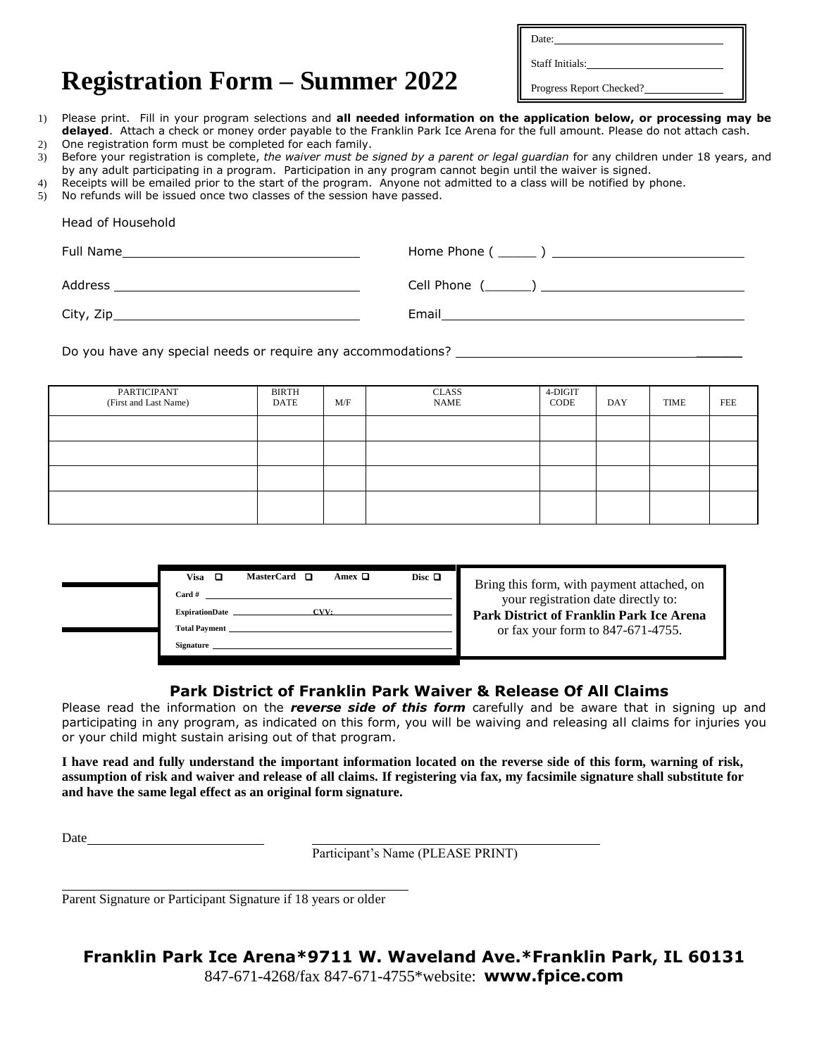Date:

Staff Initials:

## **Registration Form – Summer 2022**

Progress Report Checked?

- 1) Please print. Fill in your program selections and **all needed information on the application below, or processing may be delayed**. Attach a check or money order payable to the Franklin Park Ice Arena for the full amount. Please do not attach cash.
- 2) One registration form must be completed for each family. 3) Before your registration is complete, *the waiver must be signed by a parent or legal guardian* for any children under 18 years, and by any adult participating in a program. Participation in any program cannot begin until the waiver is signed.
- 4) Receipts will be emailed prior to the start of the program. Anyone not admitted to a class will be notified by phone.
- 5) No refunds will be issued once two classes of the session have passed.

Head of Household

| Head of Household |  |
|-------------------|--|
|                   |  |
|                   |  |
|                   |  |
|                   |  |

Do you have any special needs or require any accommodations? \_\_\_\_\_\_\_\_\_\_\_\_\_\_\_\_\_\_\_

| PARTICIPANT<br>(First and Last Name) | <b>BIRTH</b><br>DATE | M/F | <b>CLASS</b><br><b>NAME</b> | 4-DIGIT<br>CODE | DAY | TIME | FEE |
|--------------------------------------|----------------------|-----|-----------------------------|-----------------|-----|------|-----|
|                                      |                      |     |                             |                 |     |      |     |
|                                      |                      |     |                             |                 |     |      |     |
|                                      |                      |     |                             |                 |     |      |     |
|                                      |                      |     |                             |                 |     |      |     |

m, with payment attached, on stration date directly to: **Park District of Franklin Park Ice Arena**  or form to 847-671-4755.

### **Park District of Franklin Park Waiver & Release Of All Claims**

Please read the information on the *reverse side of this form* carefully and be aware that in signing up and participating in any program, as indicated on this form, you will be waiving and releasing all claims for injuries you or your child might sustain arising out of that program.

**I have read and fully understand the important information located on the reverse side of this form, warning of risk, assumption of risk and waiver and release of all claims. If registering via fax, my facsimile signature shall substitute for and have the same legal effect as an original form signature.**

Date

Participant's Name (PLEASE PRINT)

Parent Signature or Participant Signature if 18 years or older

# **Franklin Park Ice Arena\*9711 W. Waveland Ave.\*Franklin Park, IL 60131**

847-671-4268/fax 847-671-4755\*website: **www.fpice.com**